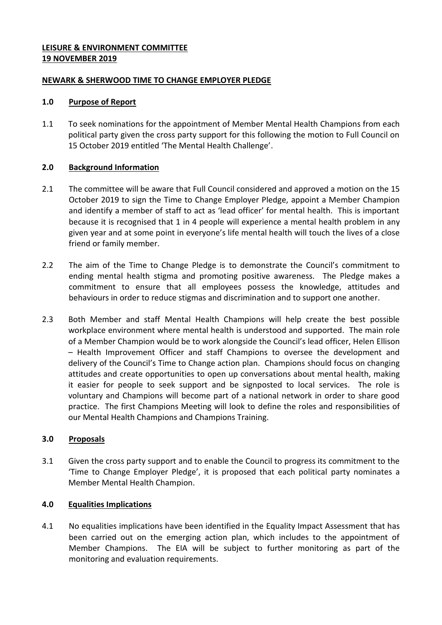### **LEISURE & ENVIRONMENT COMMITTEE 19 NOVEMBER 2019**

## **NEWARK & SHERWOOD TIME TO CHANGE EMPLOYER PLEDGE**

## **1.0 Purpose of Report**

1.1 To seek nominations for the appointment of Member Mental Health Champions from each political party given the cross party support for this following the motion to Full Council on 15 October 2019 entitled 'The Mental Health Challenge'.

# **2.0 Background Information**

- 2.1 The committee will be aware that Full Council considered and approved a motion on the 15 October 2019 to sign the Time to Change Employer Pledge, appoint a Member Champion and identify a member of staff to act as 'lead officer' for mental health. This is important because it is recognised that 1 in 4 people will experience a mental health problem in any given year and at some point in everyone's life mental health will touch the lives of a close friend or family member.
- 2.2 The aim of the Time to Change Pledge is to demonstrate the Council's commitment to ending mental health stigma and promoting positive awareness. The Pledge makes a commitment to ensure that all employees possess the knowledge, attitudes and behaviours in order to reduce stigmas and discrimination and to support one another.
- 2.3 Both Member and staff Mental Health Champions will help create the best possible workplace environment where mental health is understood and supported. The main role of a Member Champion would be to work alongside the Council's lead officer, Helen Ellison – Health Improvement Officer and staff Champions to oversee the development and delivery of the Council's Time to Change action plan. Champions should focus on changing attitudes and create opportunities to open up conversations about mental health, making it easier for people to seek support and be signposted to local services. The role is voluntary and Champions will become part of a national network in order to share good practice. The first Champions Meeting will look to define the roles and responsibilities of our Mental Health Champions and Champions Training.

# **3.0 Proposals**

3.1 Given the cross party support and to enable the Council to progress its commitment to the 'Time to Change Employer Pledge', it is proposed that each political party nominates a Member Mental Health Champion.

# **4.0 Equalities Implications**

4.1 No equalities implications have been identified in the Equality Impact Assessment that has been carried out on the emerging action plan, which includes to the appointment of Member Champions. The EIA will be subject to further monitoring as part of the monitoring and evaluation requirements.